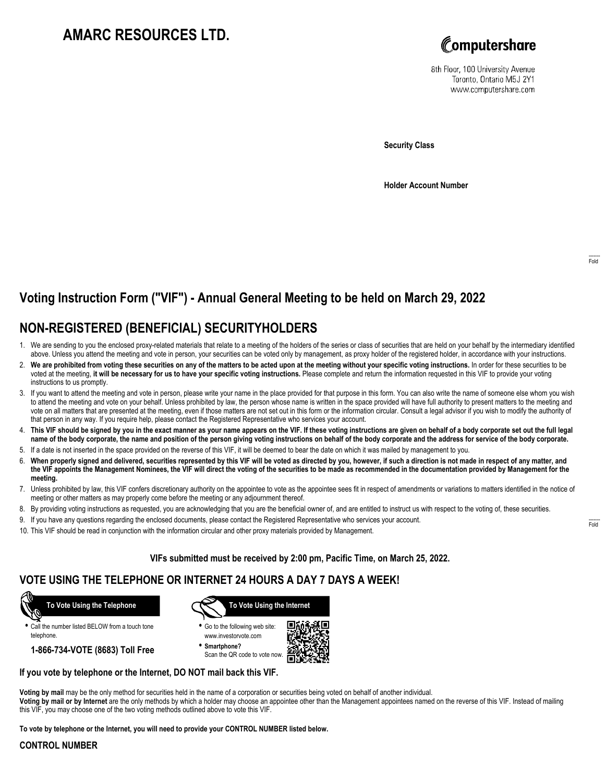# **AMARC RESOURCES LTD.**



8th Floor, 100 University Avenue Toronto, Ontario M5J 2Y1 www.computershare.com

**Security Class**

**Holder Account Number**

# **Voting Instruction Form ("VIF") - Annual General Meeting to be held on March 29, 2022**

## **NON-REGISTERED (BENEFICIAL) SECURITYHOLDERS**

- 1. We are sending to you the enclosed proxy-related materials that relate to a meeting of the holders of the series or class of securities that are held on your behalf by the intermediary identified above. Unless you attend the meeting and vote in person, your securities can be voted only by management, as proxy holder of the registered holder, in accordance with your instructions.
- 2. **We are prohibited from voting these securities on any of the matters to be acted upon at the meeting without your specific voting instructions.** In order for these securities to be voted at the meeting, **it will be necessary for us to have your specific voting instructions.** Please complete and return the information requested in this VIF to provide your voting instructions to us promptly.
- 3. If you want to attend the meeting and vote in person, please write your name in the place provided for that purpose in this form. You can also write the name of someone else whom you wish to attend the meeting and vote on your behalf. Unless prohibited by law, the person whose name is written in the space provided will have full authority to present matters to the meeting and vote on all matters that are presented at the meeting, even if those matters are not set out in this form or the information circular. Consult a legal advisor if you wish to modify the authority of that person in any way. If you require help, please contact the Registered Representative who services your account.
- 4. **This VIF should be signed by you in the exact manner as your name appears on the VIF. If these voting instructions are given on behalf of a body corporate set out the full legal name of the body corporate, the name and position of the person giving voting instructions on behalf of the body corporate and the address for service of the body corporate.**
- 5. If a date is not inserted in the space provided on the reverse of this VIF, it will be deemed to bear the date on which it was mailed by management to you.
- 6. **When properly signed and delivered, securities represented by this VIF will be voted as directed by you, however, if such a direction is not made in respect of any matter, and the VIF appoints the Management Nominees, the VIF will direct the voting of the securities to be made as recommended in the documentation provided by Management for the meeting.**
- 7. Unless prohibited by law, this VIF confers discretionary authority on the appointee to vote as the appointee sees fit in respect of amendments or variations to matters identified in the notice of meeting or other matters as may properly come before the meeting or any adjournment thereof.
- 8. By providing voting instructions as requested, you are acknowledging that you are the beneficial owner of, and are entitled to instruct us with respect to the voting of, these securities.
- 9. If you have any questions regarding the enclosed documents, please contact the Registered Representative who services your account.
- 10. This VIF should be read in conjunction with the information circular and other proxy materials provided by Management.

**VIFs submitted must be received by 2:00 pm, Pacific Time, on March 25, 2022.**

### **VOTE USING THE TELEPHONE OR INTERNET 24 HOURS A DAY 7 DAYS A WEEK!**



**•** Call the number listed BELOW from a touch tone telephone.

**1-866-734-VOTE (8683) Toll Free**



- **•** Go to the following web site: www.investorvote.com
- **• Smartphone?** Scan the QR code to vote now.



#### **If you vote by telephone or the Internet, DO NOT mail back this VIF.**

this VIF, you may choose one of the two voting methods outlined above to vote this VIF.

**Voting by mail** may be the only method for securities held in the name of a corporation or securities being voted on behalf of another individual. **Voting by mail or by Internet** are the only methods by which a holder may choose an appointee other than the Management appointees named on the reverse of this VIF. Instead of mailing

**To vote by telephone or the Internet, you will need to provide your CONTROL NUMBER listed below.**

#### **CONTROL NUMBER**